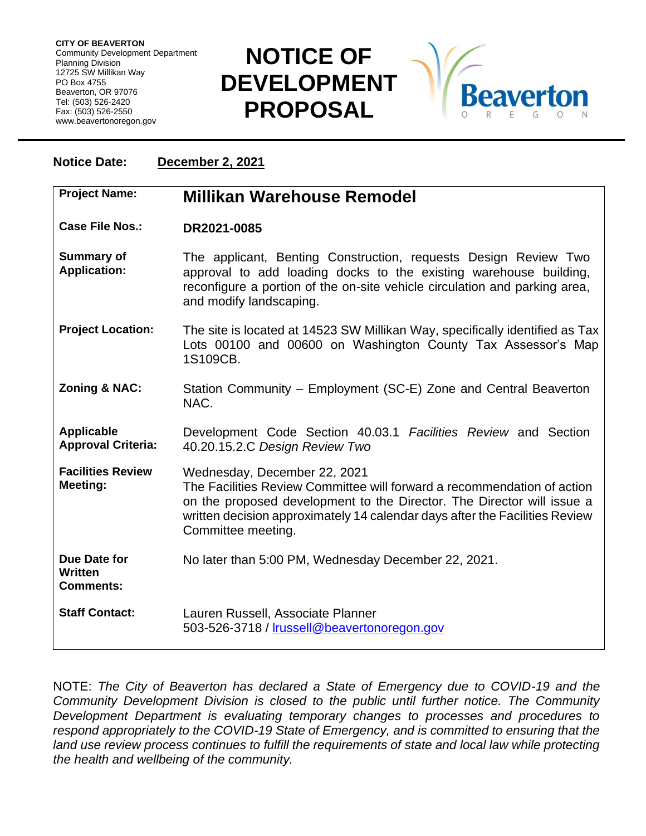**CITY OF BEAVERTON** Community Development Department Planning Division 12725 SW Millikan Way PO Box 4755 Beaverton, OR 97076 Tel: (503) 526-2420 Fax: (503) 526-2550 www.beavertonoregon.gov

## **NOTICE OF DEVELOPMENT PROPOSAL**



| December 2, 2021<br><b>Notice Date:</b>        |                                                                                                                                                                                                                                                                                        |
|------------------------------------------------|----------------------------------------------------------------------------------------------------------------------------------------------------------------------------------------------------------------------------------------------------------------------------------------|
| <b>Project Name:</b>                           | Millikan Warehouse Remodel                                                                                                                                                                                                                                                             |
| <b>Case File Nos.:</b>                         | DR2021-0085                                                                                                                                                                                                                                                                            |
| <b>Summary of</b><br><b>Application:</b>       | The applicant, Benting Construction, requests Design Review Two<br>approval to add loading docks to the existing warehouse building,<br>reconfigure a portion of the on-site vehicle circulation and parking area,<br>and modify landscaping.                                          |
| <b>Project Location:</b>                       | The site is located at 14523 SW Millikan Way, specifically identified as Tax<br>Lots 00100 and 00600 on Washington County Tax Assessor's Map<br>1S109CB.                                                                                                                               |
| <b>Zoning &amp; NAC:</b>                       | Station Community - Employment (SC-E) Zone and Central Beaverton<br>NAC.                                                                                                                                                                                                               |
| <b>Applicable</b><br><b>Approval Criteria:</b> | Development Code Section 40.03.1 Facilities Review and Section<br>40.20.15.2.C Design Review Two                                                                                                                                                                                       |
| <b>Facilities Review</b><br>Meeting:           | Wednesday, December 22, 2021<br>The Facilities Review Committee will forward a recommendation of action<br>on the proposed development to the Director. The Director will issue a<br>written decision approximately 14 calendar days after the Facilities Review<br>Committee meeting. |
| Due Date for<br>Written<br><b>Comments:</b>    | No later than 5:00 PM, Wednesday December 22, 2021.                                                                                                                                                                                                                                    |
| <b>Staff Contact:</b>                          | Lauren Russell, Associate Planner<br>503-526-3718 / Irussell@beavertonoregon.gov                                                                                                                                                                                                       |

NOTE: *The City of Beaverton has declared a State of Emergency due to COVID-19 and the Community Development Division is closed to the public until further notice. The Community Development Department is evaluating temporary changes to processes and procedures to respond appropriately to the COVID-19 State of Emergency, and is committed to ensuring that the*  land use review process continues to fulfill the requirements of state and local law while protecting *the health and wellbeing of the community.*